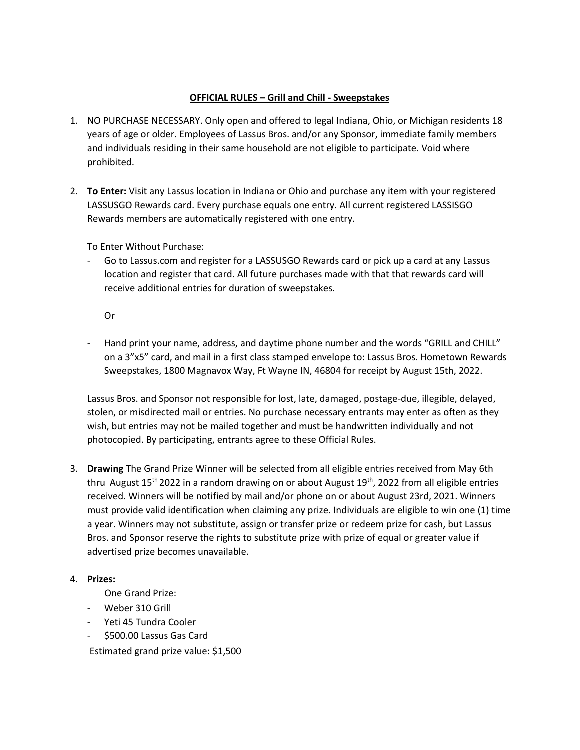## **OFFICIAL RULES – Grill and Chill - Sweepstakes**

- 1. NO PURCHASE NECESSARY. Only open and offered to legal Indiana, Ohio, or Michigan residents 18 years of age or older. Employees of Lassus Bros. and/or any Sponsor, immediate family members and individuals residing in their same household are not eligible to participate. Void where prohibited.
- 2. **To Enter:** Visit any Lassus location in Indiana or Ohio and purchase any item with your registered LASSUSGO Rewards card. Every purchase equals one entry. All current registered LASSISGO Rewards members are automatically registered with one entry.

To Enter Without Purchase:

Go to Lassus.com and register for a LASSUSGO Rewards card or pick up a card at any Lassus location and register that card. All future purchases made with that that rewards card will receive additional entries for duration of sweepstakes.

Or

- Hand print your name, address, and daytime phone number and the words "GRILL and CHILL" on a 3"x5" card, and mail in a first class stamped envelope to: Lassus Bros. Hometown Rewards Sweepstakes, 1800 Magnavox Way, Ft Wayne IN, 46804 for receipt by August 15th, 2022.

Lassus Bros. and Sponsor not responsible for lost, late, damaged, postage-due, illegible, delayed, stolen, or misdirected mail or entries. No purchase necessary entrants may enter as often as they wish, but entries may not be mailed together and must be handwritten individually and not photocopied. By participating, entrants agree to these Official Rules.

3. **Drawing** The Grand Prize Winner will be selected from all eligible entries received from May 6th thru August  $15<sup>th</sup>$  2022 in a random drawing on or about August  $19<sup>th</sup>$ , 2022 from all eligible entries received. Winners will be notified by mail and/or phone on or about August 23rd, 2021. Winners must provide valid identification when claiming any prize. Individuals are eligible to win one (1) time a year. Winners may not substitute, assign or transfer prize or redeem prize for cash, but Lassus Bros. and Sponsor reserve the rights to substitute prize with prize of equal or greater value if advertised prize becomes unavailable.

## 4. **Prizes:**

One Grand Prize:

- Weber 310 Grill
- Yeti 45 Tundra Cooler
- \$500.00 Lassus Gas Card

Estimated grand prize value: \$1,500